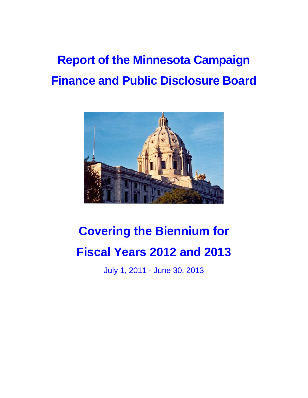# **Report of the Minnesota Campaign Finance and Public Disclosure Board**



# **Covering the Biennium for Fiscal Years 2012 and 2013**

July 1, 2011 - June 30, 2013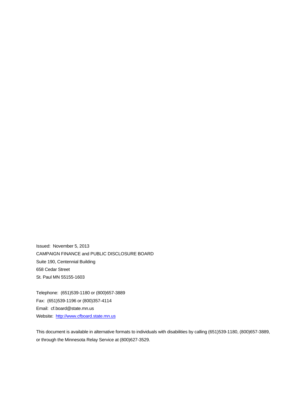Issued: November 5, 2013 CAMPAIGN FINANCE and PUBLIC DISCLOSURE BOARD Suite 190, Centennial Building 658 Cedar Street St. Paul MN 55155-1603

Telephone: (651)539-1180 or (800)657-3889 Fax: (651)539-1196 or (800)357-4114 Email: cf.board@state.mn.us Website: http://www.cfboard.state.mn.us

This document is available in alternative formats to individuals with disabilities by calling (651)539-1180, (800)657-3889, or through the Minnesota Relay Service at (800)627-3529.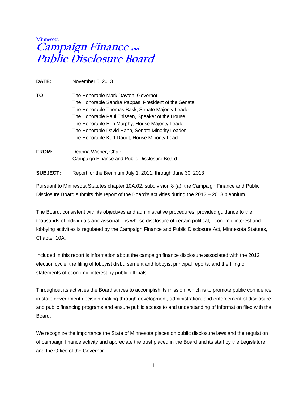## **Minnesota Campaign Finance and Public Disclosure Board**

**DATE:** November 5, 2013

- **TO:** The Honorable Mark Dayton, Governor The Honorable Sandra Pappas, President of the Senate The Honorable Thomas Bakk, Senate Majority Leader The Honorable Paul Thissen, Speaker of the House The Honorable Erin Murphy, House Majority Leader The Honorable David Hann, Senate Minority Leader The Honorable Kurt Daudt, House Minority Leader
- **FROM:** Deanna Wiener, Chair Campaign Finance and Public Disclosure Board

#### **SUBJECT:** Report for the Biennium July 1, 2011, through June 30, 2013

Pursuant to Minnesota Statutes chapter 10A.02, subdivision 8 (a), the Campaign Finance and Public Disclosure Board submits this report of the Board's activities during the 2012 – 2013 biennium.

The Board, consistent with its objectives and administrative procedures, provided guidance to the thousands of individuals and associations whose disclosure of certain political, economic interest and lobbying activities is regulated by the Campaign Finance and Public Disclosure Act, Minnesota Statutes, Chapter 10A.

Included in this report is information about the campaign finance disclosure associated with the 2012 election cycle, the filing of lobbyist disbursement and lobbyist principal reports, and the filing of statements of economic interest by public officials.

Throughout its activities the Board strives to accomplish its mission; which is to promote public confidence in state government decision-making through development, administration, and enforcement of disclosure and public financing programs and ensure public access to and understanding of information filed with the Board.

We recognize the importance the State of Minnesota places on public disclosure laws and the regulation of campaign finance activity and appreciate the trust placed in the Board and its staff by the Legislature and the Office of the Governor.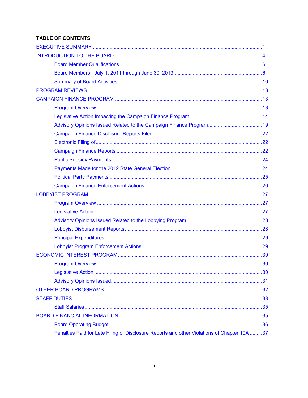#### **TABLE OF CONTENTS**

| Penalties Paid for Late Filing of Disclosure Reports and other Violations of Chapter 10A 37 |  |
|---------------------------------------------------------------------------------------------|--|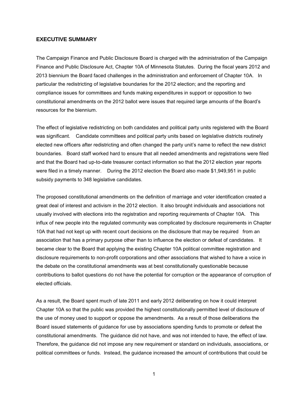#### <span id="page-4-0"></span>**EXECUTIVE SUMMARY**

The Campaign Finance and Public Disclosure Board is charged with the administration of the Campaign Finance and Public Disclosure Act, Chapter 10A of Minnesota Statutes. During the fiscal years 2012 and 2013 biennium the Board faced challenges in the administration and enforcement of Chapter 10A. In particular the redistricting of legislative boundaries for the 2012 election; and the reporting and compliance issues for committees and funds making expenditures in support or opposition to two constitutional amendments on the 2012 ballot were issues that required large amounts of the Board's resources for the biennium.

The effect of legislative redistricting on both candidates and political party units registered with the Board was significant. Candidate committees and political party units based on legislative districts routinely elected new officers after redistricting and often changed the party unit's name to reflect the new district boundaries. Board staff worked hard to ensure that all needed amendments and registrations were filed and that the Board had up-to-date treasurer contact information so that the 2012 election year reports were filed in a timely manner. During the 2012 election the Board also made \$1,949,951 in public subsidy payments to 348 legislative candidates.

The proposed constitutional amendments on the definition of marriage and voter identification created a great deal of interest and activism in the 2012 election. It also brought individuals and associations not usually involved with elections into the registration and reporting requirements of Chapter 10A. This influx of new people into the regulated community was complicated by disclosure requirements in Chapter 10A that had not kept up with recent court decisions on the disclosure that may be required from an association that has a primary purpose other than to influence the election or defeat of candidates. It became clear to the Board that applying the existing Chapter 10A political committee registration and disclosure requirements to non-profit corporations and other associations that wished to have a voice in the debate on the constitutional amendments was at best constitutionally questionable because contributions to ballot questions do not have the potential for corruption or the appearance of corruption of elected officials.

As a result, the Board spent much of late 2011 and early 2012 deliberating on how it could interpret Chapter 10A so that the public was provided the highest constitutionally permitted level of disclosure of the use of money used to support or oppose the amendments. As a result of those deliberations the Board issued statements of guidance for use by associations spending funds to promote or defeat the constitutional amendments. The guidance did not have, and was not intended to have, the effect of law. Therefore, the guidance did not impose any new requirement or standard on individuals, associations, or political committees or funds. Instead, the guidance increased the amount of contributions that could be

1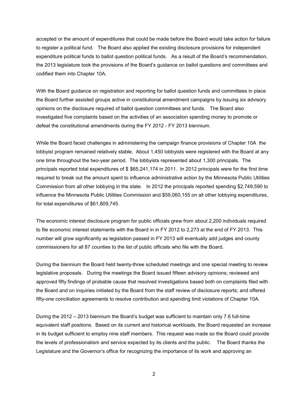accepted or the amount of expenditures that could be made before the Board would take action for failure to register a political fund. The Board also applied the existing disclosure provisions for independent expenditure political funds to ballot question political funds. As a result of the Board's recommendation, the 2013 legislature took the provisions of the Board's guidance on ballot questions and committees and codified them into Chapter 10A.

With the Board guidance on registration and reporting for ballot question funds and committees in place the Board further assisted groups active in constitutional amendment campaigns by issuing six advisory opinions on the disclosure required of ballot question committees and funds. The Board also investigated five complaints based on the activities of an association spending money to promote or defeat the constitutional amendments during the FY 2012 - FY 2013 biennium.

While the Board faced challenges in administering the campaign finance provisions of Chapter 10A the lobbyist program remained relatively stable. About 1,450 lobbyists were registered with the Board at any one time throughout the two-year period. The lobbyists represented about 1,300 principals. The principals reported total expenditures of \$ \$65,241,174 in 2011. In 2012 principals were for the first time required to break out the amount spent to influence administrative action by the Minnesota Public Utilities Commission from all other lobbying in the state. In 2012 the principals reported spending \$2,749,590 to influence the Minnesota Public Utilities Commission and \$59,060,155 on all other lobbying expenditures, for total expenditures of \$61,809,745.

The economic interest disclosure program for public officials grew from about 2,200 individuals required to file economic interest statements with the Board in in FY 2012 to 2,273 at the end of FY 2013. This number will grow significantly as legislation passed in FY 2013 will eventually add judges and county commissioners for all 87 counties to the list of public officials who file with the Board.

During the biennium the Board held twenty-three scheduled meetings and one special meeting to review legislative proposals. During the meetings the Board issued fifteen advisory opinions; reviewed and approved fifty findings of probable cause that resolved investigations based both on complaints filed with the Board and on inquiries initiated by the Board from the staff review of disclosure reports; and offered fifty-one conciliation agreements to resolve contribution and spending limit violations of Chapter 10A.

During the 2012 – 2013 biennium the Board's budget was sufficient to maintain only 7.6 full-time equivalent staff positions. Based on its current and historical workloads, the Board requested an increase in its budget sufficient to employ nine staff members. This request was made so the Board could provide the levels of professionalism and service expected by its clients and the public. The Board thanks the Legislature and the Governor's office for recognizing the importance of its work and approving an

2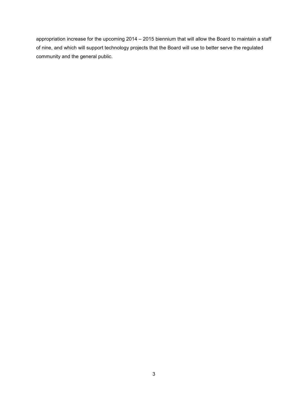appropriation increase for the upcoming 2014 – 2015 biennium that will allow the Board to maintain a staff of nine, and which will support technology projects that the Board will use to better serve the regulated community and the general public.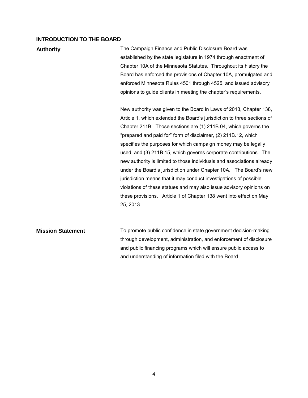#### <span id="page-7-0"></span>**INTRODUCTION TO THE BOARD**

**Authority The Campaign Finance and Public Disclosure Board was** established by the state legislature in 1974 through enactment of Chapter 10A of the Minnesota Statutes. Throughout its history the Board has enforced the provisions of Chapter 10A, promulgated and enforced Minnesota Rules 4501 through 4525, and issued advisory opinions to guide clients in meeting the chapter's requirements.

> New authority was given to the Board in Laws of 2013, Chapter 138, Article 1, which extended the Board's jurisdiction to three sections of Chapter 211B. Those sections are (1) 211B.04, which governs the "prepared and paid for" form of disclaimer, (2) 211B.12, which specifies the purposes for which campaign money may be legally used, and (3) 211B.15, which governs corporate contributions. The new authority is limited to those individuals and associations already under the Board's jurisdiction under Chapter 10A. The Board's new jurisdiction means that it may conduct investigations of possible violations of these statues and may also issue advisory opinions on these provisions. Article 1 of Chapter 138 went into effect on May 25, 2013.

**Mission Statement** To promote public confidence in state government decision-making through development, administration, and enforcement of disclosure and public financing programs which will ensure public access to and understanding of information filed with the Board.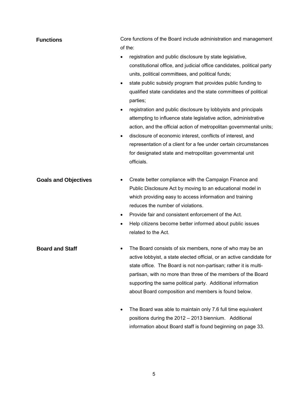| <b>Functions</b>            | Core functions of the Board include administration and management<br>of the:                                                                                                                                                                                                                                                                                                                                                                                                                                                                                                                                                                                                                                                                                                               |
|-----------------------------|--------------------------------------------------------------------------------------------------------------------------------------------------------------------------------------------------------------------------------------------------------------------------------------------------------------------------------------------------------------------------------------------------------------------------------------------------------------------------------------------------------------------------------------------------------------------------------------------------------------------------------------------------------------------------------------------------------------------------------------------------------------------------------------------|
|                             | registration and public disclosure by state legislative,<br>constitutional office, and judicial office candidates, political party<br>units, political committees, and political funds;<br>state public subsidy program that provides public funding to<br>qualified state candidates and the state committees of political<br>parties;<br>registration and public disclosure by lobbyists and principals<br>$\bullet$<br>attempting to influence state legislative action, administrative<br>action, and the official action of metropolitan governmental units;<br>disclosure of economic interest, conflicts of interest, and<br>$\bullet$<br>representation of a client for a fee under certain circumstances<br>for designated state and metropolitan governmental unit<br>officials. |
| <b>Goals and Objectives</b> | Create better compliance with the Campaign Finance and<br>Public Disclosure Act by moving to an educational model in<br>which providing easy to access information and training<br>reduces the number of violations.<br>Provide fair and consistent enforcement of the Act.<br>$\bullet$<br>Help citizens become better informed about public issues<br>$\bullet$<br>related to the Act.                                                                                                                                                                                                                                                                                                                                                                                                   |
| <b>Board and Staff</b>      | The Board consists of six members, none of who may be an<br>active lobbyist, a state elected official, or an active candidate for<br>state office. The Board is not non-partisan; rather it is multi-<br>partisan, with no more than three of the members of the Board<br>supporting the same political party. Additional information<br>about Board composition and members is found below.                                                                                                                                                                                                                                                                                                                                                                                               |
|                             | The Board was able to maintain only 7.6 full time equivalent<br>positions during the 2012 - 2013 biennium. Additional<br>information about Board staff is found beginning on page 33.                                                                                                                                                                                                                                                                                                                                                                                                                                                                                                                                                                                                      |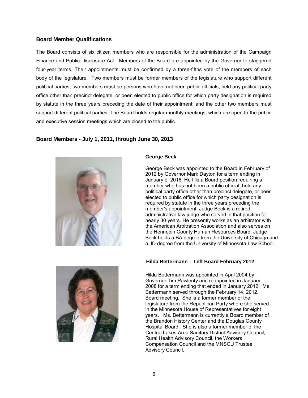#### <span id="page-9-0"></span>**Board Member Qualifications**

The Board consists of six citizen members who are responsible for the administration of the Campaign Finance and Public Disclosure Act. Members of the Board are appointed by the Governor to staggered four-year terms. Their appointments must be confirmed by a three-fifths vote of the members of each body of the legislature. Two members must be former members of the legislature who support different political parties; two members must be persons who have not been public officials, held any political party office other than precinct delegate, or been elected to public office for which party designation is required by statute in the three years preceding the date of their appointment; and the other two members must support different political parties. The Board holds regular monthly meetings, which are open to the public and executive session meetings which are closed to the public.

#### <span id="page-9-1"></span>**Board Members - July 1, 2011, through June 30, 2013**



#### **George Beck**

George Beck was appointed to the Board in February of 2012 by Governor Mark Dayton for a term ending in January of 2016. He fills a Board position requiring a member who has not been a public official, held any political party office other than precinct delegate, or been elected to public office for which party designation is required by statute in the three years preceding the member's appointment. Judge Beck is a retired administrative law judge who served in that position for nearly 30 years. He presently works as an arbitrator with the American Arbitration Association and also serves on the Hennepin County Human Resources Board. Judge Beck holds a BA degree from the University of Chicago and a JD degree from the University of Minnesota Law School.



#### **Hilda Bettermann - Left Board February 2012**

Hilda Bettermann was appointed in April 2004 by Governor Tim Pawlenty and reappointed in January 2008 for a term ending that ended in January 2012. Ms. Bettermann served through the February 14, 2012, Board meeting. She is a former member of the legislature from the Republican Party where she served in the Minnesota House of Representatives for eight years. Ms. Bettermann is currently a Board member of the Brandon History Center and the Douglas County Hospital Board. She is also a former member of the Central Lakes Area Sanitary District Advisory Council, Rural Health Advisory Council, the Workers Compensation Council and the MNSCU Trustee Advisory Council.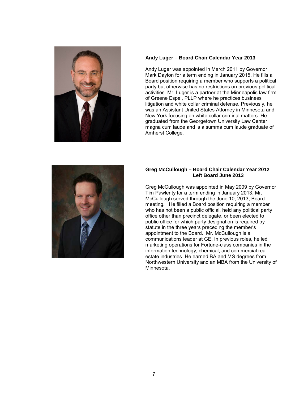

#### **Andy Luger – Board Chair Calendar Year 2013**

Andy Luger was appointed in March 2011 by Governor Mark Dayton for a term ending in January 2015. He fills a Board position requiring a member who supports a political party but otherwise has no restrictions on previous political activities. Mr. Luger is a partner at the Minneapolis law firm of Greene Espel, PLLP where he practices business litigation and white collar criminal defense. Previously, he was an Assistant United States Attorney in Minnesota and New York focusing on white collar criminal matters. He graduated from the Georgetown University Law Center magna cum laude and is a summa cum laude graduate of Amherst College.

#### **Greg McCullough – Board Chair Calendar Year 2012 Left Board June 2013**

Greg McCullough was appointed in May 2009 by Governor Tim Pawlenty for a term ending in January 2013. Mr. McCullough served through the June 10, 2013, Board meeting. He filled a Board position requiring a member who has not been a public official, held any political party office other than precinct delegate, or been elected to public office for which party designation is required by statute in the three years preceding the member's appointment to the Board. Mr. McCullough is a communications leader at GE. In previous roles, he led marketing operations for Fortune-class companies in the information technology, chemical, and commercial real estate industries. He earned BA and MS degrees from Northwestern University and an MBA from the University of Minnesota.

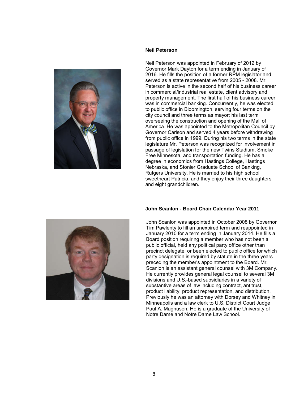

#### **Neil Peterson**

Neil Peterson was appointed in February of 2012 by Governor Mark Dayton for a term ending in January of 2016. He fills the position of a former RPM legislator and served as a state representative from 2005 - 2008. Mr. Peterson is active in the second half of his business career in commercial/industrial real estate, client advisory and property management. The first half of his business career was in commercial banking. Concurrently, he was elected to public office in Bloomington, serving four terms on the city council and three terms as mayor; his last term overseeing the construction and opening of the Mall of America. He was appointed to the Metropolitan Council by Governor Carlson and served 4 years before withdrawing from public office in 1999. During his two terms in the state legislature Mr. Peterson was recognized for involvement in passage of legislation for the new Twins Stadium, Smoke Free Minnesota, and transportation funding. He has a degree in economics from Hastings College, Hastings Nebraska, and Stonier Graduate School of Banking, Rutgers University. He is married to his high school sweetheart Patricia, and they enjoy their three daughters and eight grandchildren.

#### **John Scanlon - Board Chair Calendar Year 2011**

John Scanlon was appointed in October 2008 by Governor Tim Pawlenty to fill an unexpired term and reappointed in January 2010 for a term ending in January 2014. He fills a Board position requiring a member who has not been a public official, held any political party office other than precinct delegate, or been elected to public office for which party designation is required by statute in the three years preceding the member's appointment to the Board. Mr. Scanlon is an assistant general counsel with 3M Company. He currently provides general legal counsel to several 3M divisions and U.S.-based subsidiaries in a variety of substantive areas of law including contract, antitrust, product liability, product representation, and distribution. Previously he was an attorney with Dorsey and Whitney in Minneapolis and a law clerk to U.S. District Court Judge Paul A. Magnuson. He is a graduate of the University of Notre Dame and Notre Dame Law School.

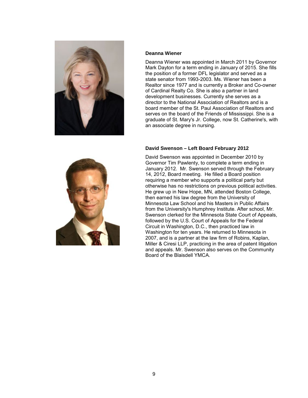

#### **Deanna Wiener**

Deanna Wiener was appointed in March 2011 by Governor Mark Dayton for a term ending in January of 2015. She fills the position of a former DFL legislator and served as a state senator from 1993-2003. Ms. Wiener has been a Realtor since 1977 and is currently a Broker and Co-owner of Cardinal Realty Co. She is also a partner in land development businesses. Currently she serves as a director to the National Association of Realtors and is a board member of the St. Paul Association of Realtors and serves on the board of the Friends of Mississippi. She is a graduate of St. Mary's Jr. College, now St. Catherine's, with an associate degree in nursing.

#### **David Swenson – Left Board February 2012**

David Swenson was appointed in December 2010 by Governor Tim Pawlenty, to complete a term ending in January 2012. Mr. Swenson served through the February 14, 2012, Board meeting. He filled a Board position requiring a member who supports a political party but otherwise has no restrictions on previous political activities. He grew up in New Hope, MN, attended Boston College, then earned his law degree from the University of Minnesota Law School and his Masters in Public Affairs from the University's Humphrey Institute. After school, Mr. Swenson clerked for the Minnesota State Court of Appeals, followed by the U.S. Court of Appeals for the Federal Circuit in Washington, D.C., then practiced law in Washington for ten years. He returned to Minnesota in 2007, and is a partner at the law firm of Robins, Kaplan, Miller & Ciresi LLP, practicing in the area of patent litigation and appeals. Mr. Swenson also serves on the Community Board of the Blaisdell YMCA.

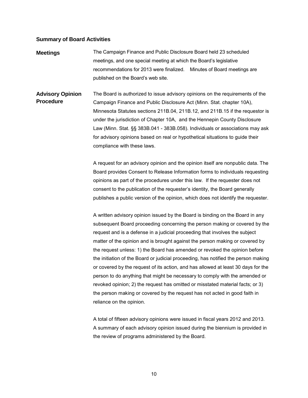#### <span id="page-13-0"></span>**Summary of Board Activities**

**Meetings** The Campaign Finance and Public Disclosure Board held 23 scheduled meetings, and one special meeting at which the Board's legislative recommendations for 2013 were finalized. Minutes of Board meetings are published on the Board's web site.

**Advisory Opinion Procedure** The Board is authorized to issue advisory opinions on the requirements of the Campaign Finance and Public Disclosure Act (Minn. Stat. chapter 10A), Minnesota Statutes sections 211B.04, 211B.12, and 211B.15 if the requestor is under the jurisdiction of Chapter 10A, and the Hennepin County Disclosure Law (Minn. Stat. §§ 383B.041 - 383B.058). Individuals or associations may ask for advisory opinions based on real or hypothetical situations to guide their compliance with these laws.

> A request for an advisory opinion and the opinion itself are nonpublic data. The Board provides Consent to Release Information forms to individuals requesting opinions as part of the procedures under this law. If the requester does not consent to the publication of the requester's identity, the Board generally publishes a public version of the opinion, which does not identify the requester.

> A written advisory opinion issued by the Board is binding on the Board in any subsequent Board proceeding concerning the person making or covered by the request and is a defense in a judicial proceeding that involves the subject matter of the opinion and is brought against the person making or covered by the request unless: 1) the Board has amended or revoked the opinion before the initiation of the Board or judicial proceeding, has notified the person making or covered by the request of its action, and has allowed at least 30 days for the person to do anything that might be necessary to comply with the amended or revoked opinion; 2) the request has omitted or misstated material facts; or 3) the person making or covered by the request has not acted in good faith in reliance on the opinion.

A total of fifteen advisory opinions were issued in fiscal years 2012 and 2013. A summary of each advisory opinion issued during the biennium is provided in the review of programs administered by the Board.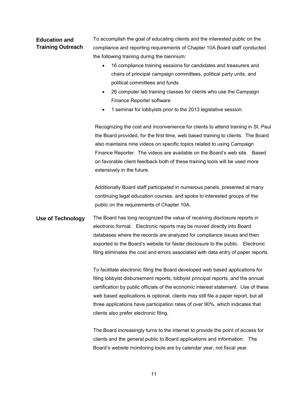#### **Education and Training Outreach**

To accomplish the goal of educating clients and the interested public on the compliance and reporting requirements of Chapter 10A Board staff conducted the following training during the biennium:

- 16 compliance training sessions for candidates and treasurers and chairs of principal campaign committees, political party units, and political committees and funds
- 26 computer lab training classes for clients who use the Campaign Finance Reporter software
- 1 seminar for lobbyists prior to the 2013 legislative session.

Recognizing the cost and inconvenience for clients to attend training in St. Paul the Board provided, for the first time, web based training to clients. The Board also maintains nine videos on specific topics related to using Campaign Finance Reporter. The videos are available on the Board's web site. Based on favorable client feedback both of these training tools will be used more extensively in the future.

Additionally Board staff participated in numerous panels, presented at many continuing legal education courses, and spoke to interested groups of the public on the requirements of Chapter 10A.

## **Use of Technology** The Board has long recognized the value of receiving disclosure reports in electronic format. Electronic reports may be moved directly into Board databases where the records are analyzed for compliance issues and then exported to the Board's website for faster disclosure to the public. Electronic filing eliminates the cost and errors associated with data entry of paper reports.

To facilitate electronic filing the Board developed web based applications for filing lobbyist disbursement reports, lobbyist principal reports, and the annual certification by public officials of the economic interest statement. Use of these web based applications is optional, clients may still file a paper report, but all three applications have participation rates of over 90%, which indicates that clients also prefer electronic filing.

The Board increasingly turns to the internet to provide the point of access for clients and the general public to Board applications and information. The Board's website monitoring tools are by calendar year, not fiscal year.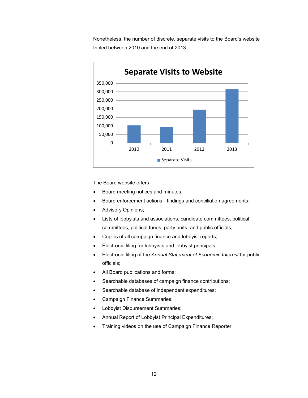Nonetheless, the number of discrete, separate visits to the Board's website tripled between 2010 and the end of 2013.



The Board website offers

- Board meeting notices and minutes;
- Board enforcement actions findings and conciliation agreements;
- Advisory Opinions;
- Lists of lobbyists and associations, candidate committees, political committees, political funds, party units, and public officials;
- Copies of all campaign finance and lobbyist reports;
- Electronic filing for lobbyists and lobbyist principals;
- Electronic filing of the *Annual Statement of Economic Interest* for public officials;
- All Board publications and forms;
- Searchable databases of campaign finance contributions;
- Searchable database of independent expenditures;
- Campaign Finance Summaries;
- Lobbyist Disbursement Summaries;
- Annual Report of Lobbyist Principal Expenditures;
- Training videos on the use of Campaign Finance Reporter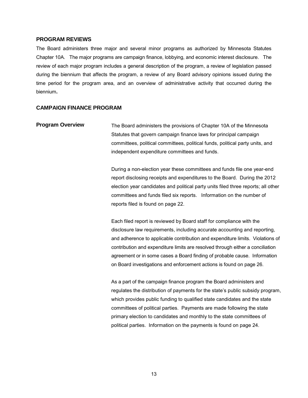#### <span id="page-16-0"></span>**PROGRAM REVIEWS**

The Board administers three major and several minor programs as authorized by Minnesota Statutes Chapter 10A. The major programs are campaign finance, lobbying, and economic interest disclosure. The review of each major program includes a general description of the program, a review of legislation passed during the biennium that affects the program, a review of any Board advisory opinions issued during the time period for the program area, and an overview of administrative activity that occurred during the biennium**.** 

#### <span id="page-16-1"></span>**CAMPAIGN FINANCE PROGRAM**

## <span id="page-16-2"></span>**Program Overview** The Board administers the provisions of Chapter 10A of the Minnesota Statutes that govern campaign finance laws for principal campaign committees, political committees, political funds, political party units, and independent expenditure committees and funds.

During a non-election year these committees and funds file one year-end report disclosing receipts and expenditures to the Board. During the 2012 election year candidates and political party units filed three reports; all other committees and funds filed six reports. Information on the number of reports filed is found on page 22.

Each filed report is reviewed by Board staff for compliance with the disclosure law requirements, including accurate accounting and reporting, and adherence to applicable contribution and expenditure limits. Violations of contribution and expenditure limits are resolved through either a conciliation agreement or in some cases a Board finding of probable cause. Information on Board investigations and enforcement actions is found on page 26.

As a part of the campaign finance program the Board administers and regulates the distribution of payments for the state's public subsidy program, which provides public funding to qualified state candidates and the state committees of political parties. Payments are made following the state primary election to candidates and monthly to the state committees of political parties. Information on the payments is found on page 24.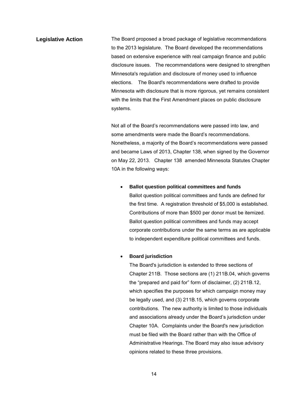<span id="page-17-0"></span>**Legislative Action** The Board proposed a broad package of legislative recommendations to the 2013 legislature. The Board developed the recommendations based on extensive experience with real campaign finance and public disclosure issues. The recommendations were designed to strengthen Minnesota's regulation and disclosure of money used to influence elections. The Board's recommendations were drafted to provide Minnesota with disclosure that is more rigorous, yet remains consistent with the limits that the First Amendment places on public disclosure systems.

> Not all of the Board's recommendations were passed into law, and some amendments were made the Board's recommendations. Nonetheless, a majority of the Board's recommendations were passed and became Laws of 2013, Chapter 138, when signed by the Governor on May 22, 2013. Chapter 138 amended Minnesota Statutes Chapter 10A in the following ways:

• **Ballot question political committees and funds** 

Ballot question political committees and funds are defined for the first time. A registration threshold of \$5,000 is established. Contributions of more than \$500 per donor must be itemized. Ballot question political committees and funds may accept corporate contributions under the same terms as are applicable to independent expenditure political committees and funds.

#### • **Board jurisdiction**

The Board's jurisdiction is extended to three sections of Chapter 211B. Those sections are (1) 211B.04, which governs the "prepared and paid for" form of disclaimer, (2) 211B.12, which specifies the purposes for which campaign money may be legally used, and (3) 211B.15, which governs corporate contributions. The new authority is limited to those individuals and associations already under the Board's jurisdiction under Chapter 10A. Complaints under the Board's new jurisdiction must be filed with the Board rather than with the Office of Administrative Hearings. The Board may also issue advisory opinions related to these three provisions.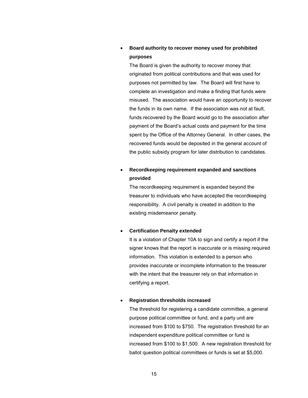### • **Board authority to recover money used for prohibited purposes**

The Board is given the authority to recover money that originated from political contributions and that was used for purposes not permitted by law. The Board will first have to complete an investigation and make a finding that funds were misused. The association would have an opportunity to recover the funds in its own name. If the association was not at fault, funds recovered by the Board would go to the association after payment of the Board's actual costs and payment for the time spent by the Office of the Attorney General. In other cases, the recovered funds would be deposited in the general account of the public subsidy program for later distribution to candidates.

## • **Recordkeeping requirement expanded and sanctions provided**

The recordkeeping requirement is expanded beyond the treasurer to individuals who have accepted the recordkeeping responsibility. A civil penalty is created in addition to the existing misdemeanor penalty.

#### • **Certification Penalty extended**

It is a violation of Chapter 10A to sign and certify a report if the signer knows that the report is inaccurate or is missing required information. This violation is extended to a person who provides inaccurate or incomplete information to the treasurer with the intent that the treasurer rely on that information in certifying a report.

#### • **Registration thresholds increased**

The threshold for registering a candidate committee, a general purpose political committee or fund, and a party unit are increased from \$100 to \$750. The registration threshold for an independent expenditure political committee or fund is increased from \$100 to \$1,500. A new registration threshold for ballot question political committees or funds is set at \$5,000.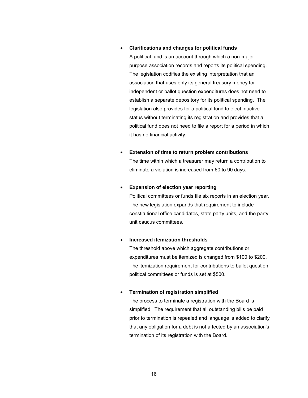#### • **Clarifications and changes for political funds**

A political fund is an account through which a non-majorpurpose association records and reports its political spending. The legislation codifies the existing interpretation that an association that uses only its general treasury money for independent or ballot question expenditures does not need to establish a separate depository for its political spending. The legislation also provides for a political fund to elect inactive status without terminating its registration and provides that a political fund does not need to file a report for a period in which it has no financial activity.

#### • **Extension of time to return problem contributions**

The time within which a treasurer may return a contribution to eliminate a violation is increased from 60 to 90 days.

#### • **Expansion of election year reporting**

Political committees or funds file six reports in an election year. The new legislation expands that requirement to include constitutional office candidates, state party units, and the party unit caucus committees.

#### • **Increased itemization thresholds**

The threshold above which aggregate contributions or expenditures must be itemized is changed from \$100 to \$200. The itemization requirement for contributions to ballot question political committees or funds is set at \$500.

#### • **Termination of registration simplified**

The process to terminate a registration with the Board is simplified. The requirement that all outstanding bills be paid prior to termination is repealed and language is added to clarify that any obligation for a debt is not affected by an association's termination of its registration with the Board.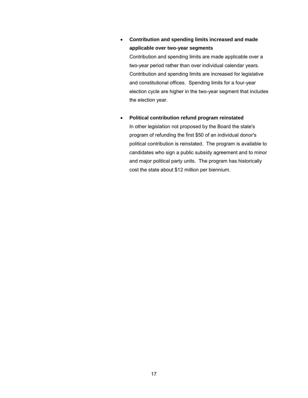### • **Contribution and spending limits increased and made applicable over two-year segments**

Contribution and spending limits are made applicable over a two-year period rather than over individual calendar years. Contribution and spending limits are increased for legislative and constitutional offices. Spending limits for a four-year election cycle are higher in the two-year segment that includes the election year.

• **Political contribution refund program reinstated** In other legislation not proposed by the Board the state's program of refunding the first \$50 of an individual donor's political contribution is reinstated. The program is available to candidates who sign a public subsidy agreement and to minor and major political party units. The program has historically cost the state about \$12 million per biennium.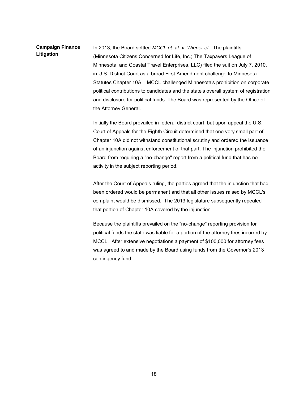#### **Campaign Finance Litigation** In 2013, the Board settled *MCCL et.* a/. *v. Wiener et.* The plaintiffs (Minnesota Citizens Concerned for Life, Inc.; The Taxpayers League of Minnesota; and Coastal Travel Enterprises, LLC) filed the suit on July 7, 2010, in U.S. District Court as a broad First Amendment challenge to Minnesota Statutes Chapter 10A. MCCL challenged Minnesota's prohibition on corporate political contributions to candidates and the state's overall system of registration and disclosure for political funds. The Board was represented by the Office of the Attorney General.

Initially the Board prevailed in federal district court, but upon appeal the U.S. Court of Appeals for the Eighth Circuit determined that one very small part of Chapter 10A did not withstand constitutional scrutiny and ordered the issuance of an injunction against enforcement of that part. The injunction prohibited the Board from requiring a "no-change" report from a political fund that has no activity in the subject reporting period.

After the Court of Appeals ruling, the parties agreed that the injunction that had been ordered would be permanent and that all other issues raised by MCCL's complaint would be dismissed. The 2013 legislature subsequently repealed that portion of Chapter 10A covered by the injunction.

Because the plaintiffs prevailed on the "no-change" reporting provision for political funds the state was liable for a portion of the attorney fees incurred by MCCL. After extensive negotiations a payment of \$100,000 for attorney fees was agreed to and made by the Board using funds from the Governor's 2013 contingency fund.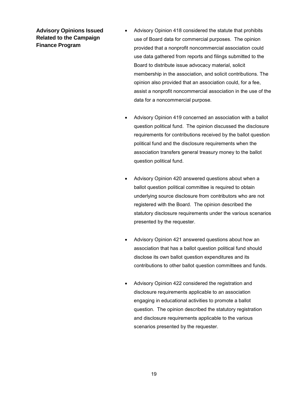<span id="page-22-0"></span>**Advisory Opinions Issued Related to the Campaign Finance Program**

- Advisory Opinion 418 considered the statute that prohibits use of Board data for commercial purposes. The opinion provided that a nonprofit noncommercial association could use data gathered from reports and filings submitted to the Board to distribute issue advocacy material, solicit membership in the association, and solicit contributions. The opinion also provided that an association could, for a fee, assist a nonprofit noncommercial association in the use of the data for a noncommercial purpose.
- Advisory Opinion 419 concerned an association with a ballot question political fund. The opinion discussed the disclosure requirements for contributions received by the ballot question political fund and the disclosure requirements when the association transfers general treasury money to the ballot question political fund.
- Advisory Opinion 420 answered questions about when a ballot question political committee is required to obtain underlying source disclosure from contributors who are not registered with the Board. The opinion described the statutory disclosure requirements under the various scenarios presented by the requester.
- Advisory Opinion 421 answered questions about how an association that has a ballot question political fund should disclose its own ballot question expenditures and its contributions to other ballot question committees and funds.
- Advisory Opinion 422 considered the registration and disclosure requirements applicable to an association engaging in educational activities to promote a ballot question. The opinion described the statutory registration and disclosure requirements applicable to the various scenarios presented by the requester.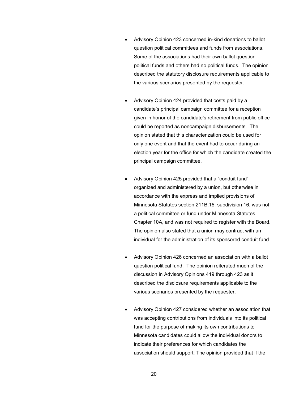- Advisory Opinion 423 concerned in-kind donations to ballot question political committees and funds from associations. Some of the associations had their own ballot question political funds and others had no political funds. The opinion described the statutory disclosure requirements applicable to the various scenarios presented by the requester.
- Advisory Opinion 424 provided that costs paid by a candidate's principal campaign committee for a reception given in honor of the candidate's retirement from public office could be reported as noncampaign disbursements. The opinion stated that this characterization could be used for only one event and that the event had to occur during an election year for the office for which the candidate created the principal campaign committee.
- Advisory Opinion 425 provided that a "conduit fund" organized and administered by a union, but otherwise in accordance with the express and implied provisions of Minnesota Statutes section 211B.15, subdivision 16, was not a political committee or fund under Minnesota Statutes Chapter 10A, and was not required to register with the Board. The opinion also stated that a union may contract with an individual for the administration of its sponsored conduit fund.
- Advisory Opinion 426 concerned an association with a ballot question political fund. The opinion reiterated much of the discussion in Advisory Opinions 419 through 423 as it described the disclosure requirements applicable to the various scenarios presented by the requester.
- Advisory Opinion 427 considered whether an association that was accepting contributions from individuals into its political fund for the purpose of making its own contributions to Minnesota candidates could allow the individual donors to indicate their preferences for which candidates the association should support. The opinion provided that if the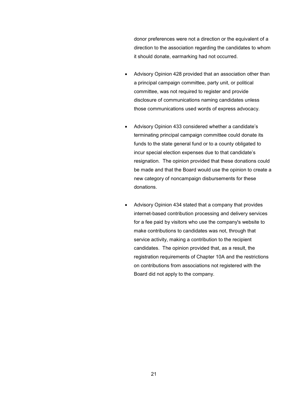donor preferences were not a direction or the equivalent of a direction to the association regarding the candidates to whom it should donate, earmarking had not occurred.

- Advisory Opinion 428 provided that an association other than a principal campaign committee, party unit, or political committee, was not required to register and provide disclosure of communications naming candidates unless those communications used words of express advocacy.
- Advisory Opinion 433 considered whether a candidate's terminating principal campaign committee could donate its funds to the state general fund or to a county obligated to incur special election expenses due to that candidate's resignation. The opinion provided that these donations could be made and that the Board would use the opinion to create a new category of noncampaign disbursements for these donations.
- Advisory Opinion 434 stated that a company that provides internet-based contribution processing and delivery services for a fee paid by visitors who use the company's website to make contributions to candidates was not, through that service activity, making a contribution to the recipient candidates. The opinion provided that, as a result, the registration requirements of Chapter 10A and the restrictions on contributions from associations not registered with the Board did not apply to the company.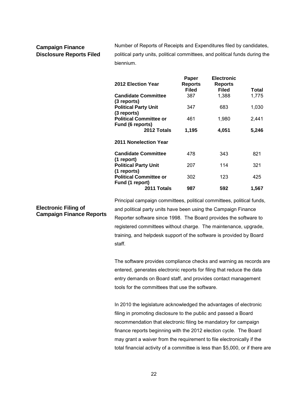<span id="page-25-0"></span>

| <b>Campaign Finance</b>         |
|---------------------------------|
| <b>Disclosure Reports Filed</b> |

Number of Reports of Receipts and Expenditures filed by candidates, political party units, political committees, and political funds during the biennium.

| 2012 Election Year                               | Paper<br><b>Reports</b><br><b>Filed</b> | <b>Electronic</b><br><b>Reports</b><br>Filed | Total |
|--------------------------------------------------|-----------------------------------------|----------------------------------------------|-------|
| <b>Candidate Committee</b>                       | 387                                     | 1,388                                        | 1,775 |
| (3 reports)                                      |                                         |                                              |       |
| <b>Political Party Unit</b>                      | 347                                     | 683                                          | 1,030 |
| (3 reports)                                      |                                         |                                              |       |
| <b>Political Committee or</b>                    | 461                                     | 1,980                                        | 2,441 |
| Fund (6 reports)                                 |                                         |                                              |       |
| 2012 Totals                                      | 1,195                                   | 4,051                                        | 5,246 |
| 2011 Nonelection Year                            |                                         |                                              |       |
| <b>Candidate Committee</b><br>(1 report)         | 478                                     | 343                                          | 821   |
| <b>Political Party Unit</b><br>(1 reports)       | 207                                     | 114                                          | 321   |
| <b>Political Committee or</b><br>Fund (1 report) | 302                                     | 123                                          | 425   |
| 2011 Totals                                      | 987                                     | 592                                          | 1,567 |

#### <span id="page-25-2"></span><span id="page-25-1"></span>**Electronic Filing of Campaign Finance Reports**

Principal campaign committees, political committees, political funds, and political party units have been using the Campaign Finance Reporter software since 1998. The Board provides the software to registered committees without charge. The maintenance, upgrade, training, and helpdesk support of the software is provided by Board staff.

The software provides compliance checks and warning as records are entered, generates electronic reports for filing that reduce the data entry demands on Board staff, and provides contact management tools for the committees that use the software.

In 2010 the legislature acknowledged the advantages of electronic filing in promoting disclosure to the public and passed a Board recommendation that electronic filing be mandatory for campaign finance reports beginning with the 2012 election cycle. The Board may grant a waiver from the requirement to file electronically if the total financial activity of a committee is less than \$5,000, or if there are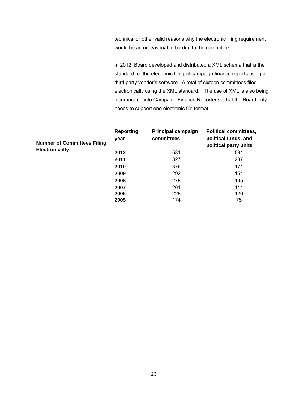technical or other valid reasons why the electronic filing requirement would be an unreasonable burden to the committee.

In 2012, Board developed and distributed a XML schema that is the standard for the electronic filing of campaign finance reports using a third party vendor's software. A total of sixteen committees filed electronically using the XML standard. The use of XML is also being incorporated into Campaign Finance Reporter so that the Board only needs to support one electronic file format.

| <b>Number of Committees Filing</b> | <b>Reporting</b><br>year | <b>Principal campaign</b><br>committees | <b>Political committees,</b><br>political funds, and<br>political party units |
|------------------------------------|--------------------------|-----------------------------------------|-------------------------------------------------------------------------------|
| <b>Electronically</b>              | 2012                     | 581                                     | 594                                                                           |
|                                    | 2011                     | 327                                     | 237                                                                           |
|                                    | 2010                     | 376                                     | 174                                                                           |
|                                    | 2009                     | 292                                     | 154                                                                           |
|                                    | 2008                     | 278                                     | 135                                                                           |
|                                    | 2007                     | 201                                     | 114                                                                           |
|                                    | 2006                     | 228                                     | 126                                                                           |
|                                    | 2005                     | 174                                     | 75                                                                            |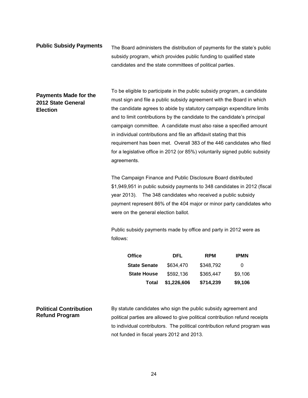## <span id="page-27-0"></span>**Public Subsidy Payments** The Board administers the distribution of payments for the state's public subsidy program, which provides public funding to qualified state candidates and the state committees of political parties.

### <span id="page-27-1"></span>**Payments Made for the 2012 State General Election**

To be eligible to participate in the public subsidy program, a candidate must sign and file a public subsidy agreement with the Board in which the candidate agrees to abide by statutory campaign expenditure limits and to limit contributions by the candidate to the candidate's principal campaign committee. A candidate must also raise a specified amount in individual contributions and file an affidavit stating that this requirement has been met. Overall 383 of the 446 candidates who filed for a legislative office in 2012 (or 85%) voluntarily signed public subsidy agreements.

The Campaign Finance and Public Disclosure Board distributed \$1,949,951 in public subsidy payments to 348 candidates in 2012 (fiscal year 2013). The 348 candidates who received a public subsidy payment represent 86% of the 404 major or minor party candidates who were on the general election ballot.

Public subsidy payments made by office and party in 2012 were as follows:

| Office              | DFL         | <b>RPM</b> | <b>IPMN</b> |
|---------------------|-------------|------------|-------------|
| <b>State Senate</b> | \$634.470   | \$348.792  | 0           |
| <b>State House</b>  | \$592.136   | \$365,447  | \$9,106     |
| Total               | \$1,226,606 | \$714,239  | \$9,106     |

#### **Political Contribution Refund Program**

By statute candidates who sign the public subsidy agreement and political parties are allowed to give political contribution refund receipts to individual contributors. The political contribution refund program was not funded in fiscal years 2012 and 2013.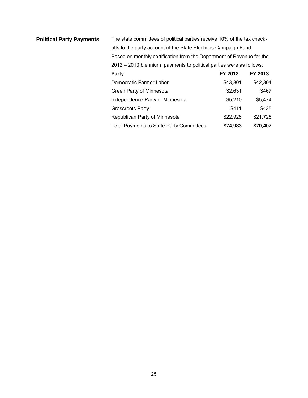<span id="page-28-0"></span>

| <b>Political Party Payments</b> | The state committees of political parties receive 10% of the tax check- |          |          |
|---------------------------------|-------------------------------------------------------------------------|----------|----------|
|                                 | offs to the party account of the State Elections Campaign Fund.         |          |          |
|                                 | Based on monthly certification from the Department of Revenue for the   |          |          |
|                                 | 2012 – 2013 biennium payments to political parties were as follows:     |          |          |
|                                 | Party                                                                   | FY 2012  | FY 2013  |
|                                 | Democratic Farmer Labor                                                 | \$43,801 | \$42,304 |
|                                 | Green Party of Minnesota                                                | \$2,631  | \$467    |
|                                 | Independence Party of Minnesota                                         | \$5,210  | \$5,474  |
|                                 | <b>Grassroots Party</b>                                                 | \$411    | \$435    |
|                                 | Republican Party of Minnesota                                           | \$22,928 | \$21,726 |
|                                 | Total Payments to State Party Committees:                               | \$74,983 | \$70,407 |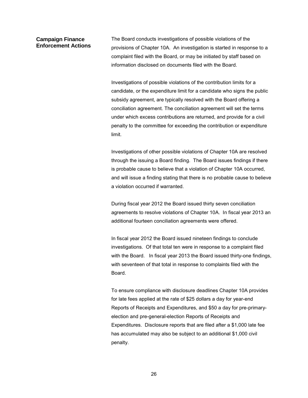#### <span id="page-29-0"></span>**Campaign Finance Enforcement Actions**

The Board conducts investigations of possible violations of the provisions of Chapter 10A. An investigation is started in response to a complaint filed with the Board, or may be initiated by staff based on information disclosed on documents filed with the Board.

Investigations of possible violations of the contribution limits for a candidate, or the expenditure limit for a candidate who signs the public subsidy agreement, are typically resolved with the Board offering a conciliation agreement. The conciliation agreement will set the terms under which excess contributions are returned, and provide for a civil penalty to the committee for exceeding the contribution or expenditure limit.

Investigations of other possible violations of Chapter 10A are resolved through the issuing a Board finding. The Board issues findings if there is probable cause to believe that a violation of Chapter 10A occurred, and will issue a finding stating that there is no probable cause to believe a violation occurred if warranted.

During fiscal year 2012 the Board issued thirty seven conciliation agreements to resolve violations of Chapter 10A. In fiscal year 2013 an additional fourteen conciliation agreements were offered.

In fiscal year 2012 the Board issued nineteen findings to conclude investigations. Of that total ten were in response to a complaint filed with the Board. In fiscal year 2013 the Board issued thirty-one findings, with seventeen of that total in response to complaints filed with the Board.

To ensure compliance with disclosure deadlines Chapter 10A provides for late fees applied at the rate of \$25 dollars a day for year-end Reports of Receipts and Expenditures, and \$50 a day for pre-primaryelection and pre-general-election Reports of Receipts and Expenditures. Disclosure reports that are filed after a \$1,000 late fee has accumulated may also be subject to an additional \$1,000 civil penalty.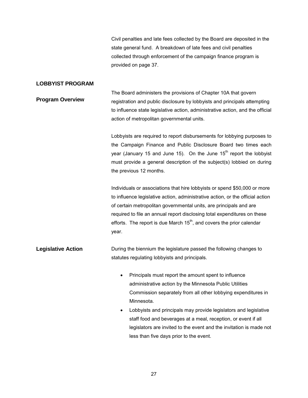Civil penalties and late fees collected by the Board are deposited in the state general fund. A breakdown of late fees and civil penalties collected through enforcement of the campaign finance program is provided on page 37.

#### <span id="page-30-0"></span>**LOBBYIST PROGRAM**

#### <span id="page-30-1"></span>**Program Overview** The Board administers the provisions of Chapter 10A that govern registration and public disclosure by lobbyists and principals attempting to influence state legislative action, administrative action, and the official action of metropolitan governmental units.

Lobbyists are required to report disbursements for lobbying purposes to the Campaign Finance and Public Disclosure Board two times each year (January 15 and June 15). On the June  $15<sup>th</sup>$  report the lobbyist must provide a general description of the subject(s) lobbied on during the previous 12 months.

Individuals or associations that hire lobbyists or spend \$50,000 or more to influence legislative action, administrative action, or the official action of certain metropolitan governmental units, are principals and are required to file an annual report disclosing total expenditures on these efforts. The report is due March  $15<sup>th</sup>$ , and covers the prior calendar year.

<span id="page-30-2"></span>**Legislative Action During the biennium the legislature passed the following changes to** statutes regulating lobbyists and principals.

- Principals must report the amount spent to influence administrative action by the Minnesota Public Utilities Commission separately from all other lobbying expenditures in Minnesota.
- Lobbyists and principals may provide legislators and legislative staff food and beverages at a meal, reception, or event if all legislators are invited to the event and the invitation is made not less than five days prior to the event.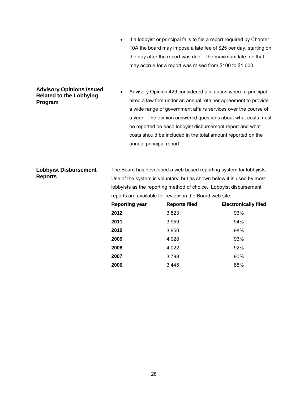• If a lobbyist or principal fails to file a report required by Chapter 10A the board may impose a late fee of \$25 per day, starting on the day after the report was due. The maximum late fee that may accrue for a report was raised from \$100 to \$1,000.

#### <span id="page-31-0"></span>**Advisory Opinions Issued Related to the Lobbying Program**

• Advisory Opinion 429 considered a situation where a principal hired a law firm under an annual retainer agreement to provide a wide range of government affairs services over the course of a year. The opinion answered questions about what costs must be reported on each lobbyist disbursement report and what costs should be included in the total amount reported on the annual principal report.

#### <span id="page-31-1"></span>**Lobbyist Disbursement Reports**

The Board has developed a web based reporting system for lobbyists. Use of the system is voluntary, but as shown below it is used by most lobbyists as the reporting method of choice. Lobbyist disbursement reports are available for review on the Board web site.

| <b>Reporting year</b> | <b>Reports filed</b> | <b>Electronically filed</b> |
|-----------------------|----------------------|-----------------------------|
| 2012                  | 3,823                | 93%                         |
| 2011                  | 3,959                | 94%                         |
| 2010                  | 3,950                | 98%                         |
| 2009                  | 4,028                | 93%                         |
| 2008                  | 4,022                | 92%                         |
| 2007                  | 3,798                | 90%                         |
| 2006                  | 3,445                | 88%                         |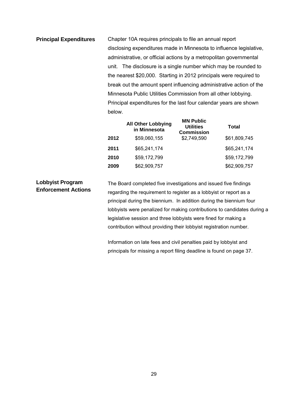## <span id="page-32-0"></span>**Principal Expenditures** Chapter 10A requires principals to file an annual report disclosing expenditures made in Minnesota to influence legislative, administrative, or official actions by a metropolitan governmental unit. The disclosure is a single number which may be rounded to the nearest \$20,000. Starting in 2012 principals were required to break out the amount spent influencing administrative action of the Minnesota Public Utilities Commission from all other lobbying. Principal expenditures for the last four calendar years are shown below.

|      | <b>All Other Lobbying</b><br>in Minnesota | <b>MN Public</b><br><b>Utilities</b><br><b>Commission</b> | Total        |
|------|-------------------------------------------|-----------------------------------------------------------|--------------|
| 2012 | \$59,060,155                              | \$2,749,590                                               | \$61,809,745 |
| 2011 | \$65,241,174                              |                                                           | \$65,241,174 |
| 2010 | \$59,172,799                              |                                                           | \$59,172,799 |
| 2009 | \$62,909,757                              |                                                           | \$62,909,757 |

#### <span id="page-32-1"></span>**Lobbyist Program Enforcement Actions**

The Board completed five investigations and issued five findings regarding the requirement to register as a lobbyist or report as a principal during the biennium. In addition during the biennium four lobbyists were penalized for making contributions to candidates during a legislative session and three lobbyists were fined for making a contribution without providing their lobbyist registration number.

Information on late fees and civil penalties paid by lobbyist and principals for missing a report filing deadline is found on page 37.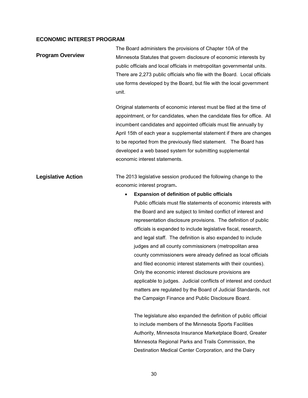#### <span id="page-33-0"></span>**ECONOMIC INTEREST PROGRAM**

<span id="page-33-2"></span><span id="page-33-1"></span>

| <b>Program Overview</b>   | The Board administers the provisions of Chapter 10A of the<br>Minnesota Statutes that govern disclosure of economic interests by<br>public officials and local officials in metropolitan governmental units.<br>There are 2,273 public officials who file with the Board. Local officials<br>use forms developed by the Board, but file with the local government<br>unit.<br>Original statements of economic interest must be filed at the time of<br>appointment, or for candidates, when the candidate files for office. All<br>incumbent candidates and appointed officials must file annually by                                                                                                                                                                                                                                                                                                                                                  |
|---------------------------|--------------------------------------------------------------------------------------------------------------------------------------------------------------------------------------------------------------------------------------------------------------------------------------------------------------------------------------------------------------------------------------------------------------------------------------------------------------------------------------------------------------------------------------------------------------------------------------------------------------------------------------------------------------------------------------------------------------------------------------------------------------------------------------------------------------------------------------------------------------------------------------------------------------------------------------------------------|
|                           | April 15th of each year a supplemental statement if there are changes                                                                                                                                                                                                                                                                                                                                                                                                                                                                                                                                                                                                                                                                                                                                                                                                                                                                                  |
|                           | to be reported from the previously filed statement. The Board has<br>developed a web based system for submitting supplemental                                                                                                                                                                                                                                                                                                                                                                                                                                                                                                                                                                                                                                                                                                                                                                                                                          |
|                           | economic interest statements.                                                                                                                                                                                                                                                                                                                                                                                                                                                                                                                                                                                                                                                                                                                                                                                                                                                                                                                          |
| <b>Legislative Action</b> | The 2013 legislative session produced the following change to the<br>economic interest program.<br><b>Expansion of definition of public officials</b><br>$\bullet$<br>Public officials must file statements of economic interests with<br>the Board and are subject to limited conflict of interest and<br>representation disclosure provisions. The definition of public<br>officials is expanded to include legislative fiscal, research,<br>and legal staff. The definition is also expanded to include<br>judges and all county commissioners (metropolitan area<br>county commissioners were already defined as local officials<br>and filed economic interest statements with their counties).<br>Only the economic interest disclosure provisions are<br>applicable to judges. Judicial conflicts of interest and conduct<br>matters are regulated by the Board of Judicial Standards, not<br>the Campaign Finance and Public Disclosure Board. |
|                           | The legislature also expanded the definition of public official                                                                                                                                                                                                                                                                                                                                                                                                                                                                                                                                                                                                                                                                                                                                                                                                                                                                                        |
|                           | to include members of the Minnesota Sports Facilities                                                                                                                                                                                                                                                                                                                                                                                                                                                                                                                                                                                                                                                                                                                                                                                                                                                                                                  |
|                           | Authority, Minnesota Insurance Marketplace Board, Greater                                                                                                                                                                                                                                                                                                                                                                                                                                                                                                                                                                                                                                                                                                                                                                                                                                                                                              |

Minnesota Regional Parks and Trails Commission, the Destination Medical Center Corporation, and the Dairy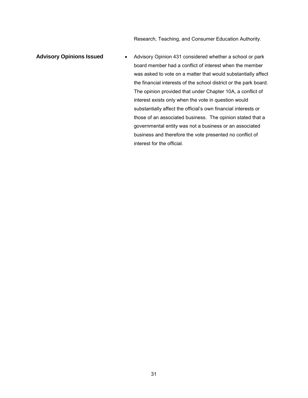Research, Teaching, and Consumer Education Authority.

<span id="page-34-0"></span>**Advisory Opinions Issued** • Advisory Opinion 431 considered whether a school or park board member had a conflict of interest when the member was asked to vote on a matter that would substantially affect the financial interests of the school district or the park board. The opinion provided that under Chapter 10A, a conflict of interest exists only when the vote in question would substantially affect the official's own financial interests or those of an associated business. The opinion stated that a governmental entity was not a business or an associated business and therefore the vote presented no conflict of interest for the official.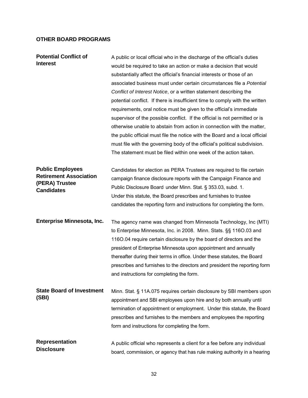### <span id="page-35-0"></span>**OTHER BOARD PROGRAMS**

| <b>Potential Conflict of</b><br><b>Interest</b>                                                 | A public or local official who in the discharge of the official's duties<br>would be required to take an action or make a decision that would<br>substantially affect the official's financial interests or those of an<br>associated business must under certain circumstances file a Potential<br>Conflict of Interest Notice, or a written statement describing the<br>potential conflict. If there is insufficient time to comply with the written<br>requirements, oral notice must be given to the official's immediate<br>supervisor of the possible conflict. If the official is not permitted or is<br>otherwise unable to abstain from action in connection with the matter.<br>the public official must file the notice with the Board and a local official<br>must file with the governing body of the official's political subdivision.<br>The statement must be filed within one week of the action taken. |
|-------------------------------------------------------------------------------------------------|--------------------------------------------------------------------------------------------------------------------------------------------------------------------------------------------------------------------------------------------------------------------------------------------------------------------------------------------------------------------------------------------------------------------------------------------------------------------------------------------------------------------------------------------------------------------------------------------------------------------------------------------------------------------------------------------------------------------------------------------------------------------------------------------------------------------------------------------------------------------------------------------------------------------------|
| <b>Public Employees</b><br><b>Retirement Association</b><br>(PERA) Trustee<br><b>Candidates</b> | Candidates for election as PERA Trustees are required to file certain<br>campaign finance disclosure reports with the Campaign Finance and<br>Public Disclosure Board under Minn. Stat. § 353.03, subd. 1.<br>Under this statute, the Board prescribes and furnishes to trustee<br>candidates the reporting form and instructions for completing the form.                                                                                                                                                                                                                                                                                                                                                                                                                                                                                                                                                               |
| Enterprise Minnesota, Inc.                                                                      | The agency name was changed from Minnesota Technology, Inc (MTI)<br>to Enterprise Minnesota, Inc. in 2008. Minn. Stats. §§ 116O.03 and<br>1160.04 require certain disclosure by the board of directors and the<br>president of Enterprise Minnesota upon appointment and annually<br>thereafter during their terms in office. Under these statutes, the Board<br>prescribes and furnishes to the directors and president the reporting form<br>and instructions for completing the form.                                                                                                                                                                                                                                                                                                                                                                                                                                 |
| <b>State Board of Investment</b><br>(SBI)                                                       | Minn. Stat. § 11A.075 requires certain disclosure by SBI members upon<br>appointment and SBI employees upon hire and by both annually until<br>termination of appointment or employment. Under this statute, the Board<br>prescribes and furnishes to the members and employees the reporting<br>form and instructions for completing the form.                                                                                                                                                                                                                                                                                                                                                                                                                                                                                                                                                                          |
| <b>Representation</b><br><b>Disclosure</b>                                                      | A public official who represents a client for a fee before any individual<br>board, commission, or agency that has rule making authority in a hearing                                                                                                                                                                                                                                                                                                                                                                                                                                                                                                                                                                                                                                                                                                                                                                    |

32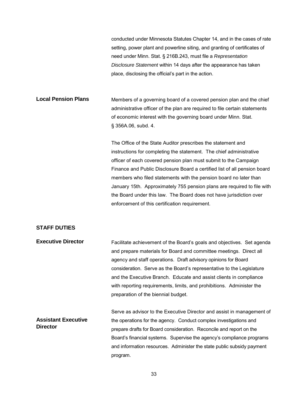conducted under Minnesota Statutes Chapter 14, and in the cases of rate setting, power plant and powerline siting, and granting of certificates of need under Minn. Stat. § 216B.243, must file a *Representation Disclosure Statement* within 14 days after the appearance has taken place, disclosing the official's part in the action.

**Local Pension Plans** Members of a governing board of a covered pension plan and the chief administrative officer of the plan are required to file certain statements of economic interest with the governing board under Minn. Stat. § 356A.06, subd. 4.

> The Office of the State Auditor prescribes the statement and instructions for completing the statement. The chief administrative officer of each covered pension plan must submit to the Campaign Finance and Public Disclosure Board a certified list of all pension board members who filed statements with the pension board no later than January 15th. Approximately 755 pension plans are required to file with the Board under this law. The Board does not have jurisdiction over enforcement of this certification requirement.

#### <span id="page-36-0"></span>**STAFF DUTIES**

**Executive Director Facilitate achievement of the Board's goals and objectives. Set agenda** and prepare materials for Board and committee meetings. Direct all agency and staff operations. Draft advisory opinions for Board consideration. Serve as the Board's representative to the Legislature and the Executive Branch. Educate and assist clients in compliance with reporting requirements, limits, and prohibitions. Administer the preparation of the biennial budget.

**Assistant Executive Director** Serve as advisor to the Executive Director and assist in management of the operations for the agency. Conduct complex investigations and prepare drafts for Board consideration. Reconcile and report on the Board's financial systems. Supervise the agency's compliance programs and information resources. Administer the state public subsidy payment program.

33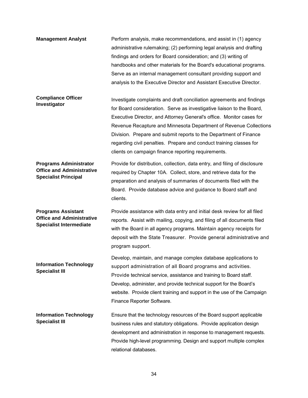**Management Analyst Perform analysis, make recommendations, and assist in (1) agency** administrative rulemaking; (2) performing legal analysis and drafting findings and orders for Board consideration; and (3) writing of handbooks and other materials for the Board's educational programs. Serve as an internal management consultant providing support and analysis to the Executive Director and Assistant Executive Director. **Compliance Officer Investigator** Investigate complaints and draft conciliation agreements and findings for Board consideration. Serve as investigative liaison to the Board, Executive Director, and Attorney General's office. Monitor cases for Revenue Recapture and Minnesota Department of Revenue Collections Division. Prepare and submit reports to the Department of Finance regarding civil penalties. Prepare and conduct training classes for clients on campaign finance reporting requirements. **Programs Administrator Office and Administrative Specialist Principal** Provide for distribution, collection, data entry, and filing of disclosure required by Chapter 10A. Collect, store, and retrieve data for the preparation and analysis of summaries of documents filed with the Board. Provide database advice and guidance to Board staff and clients. **Programs Assistant Office and Administrative Specialist Intermediate** Provide assistance with data entry and initial desk review for all filed reports. Assist with mailing, copying, and filing of all documents filed with the Board in all agency programs. Maintain agency receipts for deposit with the State Treasurer. Provide general administrative and program support. **Information Technology Specialist III**  Develop, maintain, and manage complex database applications to support administration of all Board programs and activities. Provide technical service, assistance and training to Board staff. Develop, administer, and provide technical support for the Board's website. Provide client training and support in the use of the Campaign Finance Reporter Software. **Information Technology Specialist III** Ensure that the technology resources of the Board support applicable business rules and statutory obligations. Provide application design development and administration in response to management requests. Provide high-level programming. Design and support multiple complex

relational databases.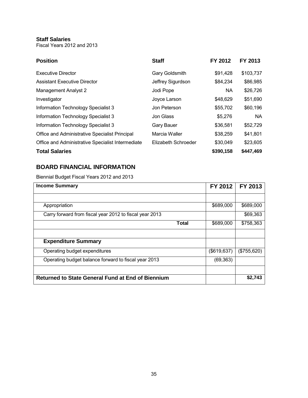#### <span id="page-38-0"></span>**Staff Salaries**

Fiscal Years 2012 and 2013

| <b>Position</b>                                   | <b>Staff</b>          | FY 2012   | FY 2013   |
|---------------------------------------------------|-----------------------|-----------|-----------|
| <b>Executive Director</b>                         | <b>Gary Goldsmith</b> | \$91,428  | \$103,737 |
| Assistant Executive Director                      | Jeffrey Sigurdson     | \$84,234  | \$86,985  |
| <b>Management Analyst 2</b>                       | Jodi Pope             | <b>NA</b> | \$26,726  |
| Investigator                                      | Joyce Larson          | \$48,629  | \$51,690  |
| Information Technology Specialist 3               | Jon Peterson          | \$55,702  | \$60,196  |
| Information Technology Specialist 3               | Jon Glass             | \$5,276   | <b>NA</b> |
| Information Technology Specialist 3               | <b>Gary Bauer</b>     | \$36,581  | \$52,729  |
| Office and Administrative Specialist Principal    | Marcia Waller         | \$38,259  | \$41,801  |
| Office and Administrative Specialist Intermediate | Elizabeth Schroeder   | \$30,049  | \$23,605  |
| <b>Total Salaries</b>                             |                       | \$390,158 | \$447,469 |

## <span id="page-38-1"></span>**BOARD FINANCIAL INFORMATION**

Biennial Budget Fiscal Years 2012 and 2013

| <b>Income Summary</b>                                    | FY 2012     | FY 2013     |
|----------------------------------------------------------|-------------|-------------|
|                                                          |             |             |
| Appropriation                                            | \$689,000   | \$689,000   |
| Carry forward from fiscal year 2012 to fiscal year 2013  |             | \$69,363    |
| Total                                                    | \$689,000   | \$758,363   |
|                                                          |             |             |
| <b>Expenditure Summary</b>                               |             |             |
| Operating budget expenditures                            | (\$619,637) | (\$755,620) |
| Operating budget balance forward to fiscal year 2013     | (69, 363)   |             |
|                                                          |             |             |
| <b>Returned to State General Fund at End of Biennium</b> |             | \$2,743     |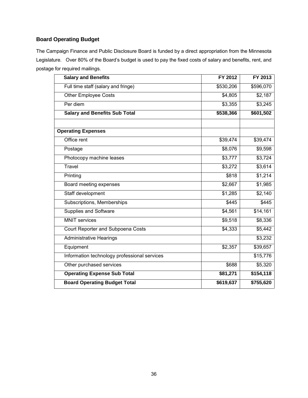#### <span id="page-39-0"></span>**Board Operating Budget**

The Campaign Finance and Public Disclosure Board is funded by a direct appropriation from the Minnesota Legislature. Over 80% of the Board's budget is used to pay the fixed costs of salary and benefits, rent, and postage for required mailings.

| <b>Salary and Benefits</b>                   | FY 2012   | FY 2013   |
|----------------------------------------------|-----------|-----------|
| Full time staff (salary and fringe)          | \$530,206 | \$596,070 |
| <b>Other Employee Costs</b>                  | \$4,805   | \$2,187   |
| Per diem                                     | \$3,355   | \$3,245   |
| <b>Salary and Benefits Sub Total</b>         | \$538,366 | \$601,502 |
|                                              |           |           |
| <b>Operating Expenses</b>                    |           |           |
| Office rent                                  | \$39,474  | \$39,474  |
| Postage                                      | \$8,076   | \$9,598   |
| Photocopy machine leases                     | \$3,777   | \$3,724   |
| <b>Travel</b>                                | \$3,272   | \$3,614   |
| Printing                                     | \$818     | \$1,214   |
| Board meeting expenses                       | \$2,667   | \$1,985   |
| Staff development                            | \$1,285   | \$2,140   |
| Subscriptions, Memberships                   | \$445     | \$445     |
| Supplies and Software                        | \$4,561   | \$14,161  |
| <b>MNIT</b> services                         | \$9,518   | \$8,336   |
| Court Reporter and Subpoena Costs            | \$4,333   | \$5,442   |
| <b>Administrative Hearings</b>               |           | \$3,232   |
| Equipment                                    | \$2,357   | \$39,657  |
| Information technology professional services |           | \$15,776  |
| Other purchased services                     | \$688     | \$5,320   |
| <b>Operating Expense Sub Total</b>           | \$81,271  | \$154,118 |
| <b>Board Operating Budget Total</b>          | \$619,637 | \$755,620 |